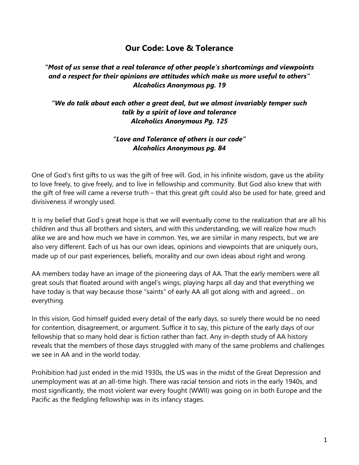# **Our Code: Love & Tolerance**

### *"Most of us sense that a real tolerance of other people's shortcomings and viewpoints and a respect for their opinions are attitudes which make us more useful to others" Alcoholics Anonymous pg. 19*

#### *"We do talk about each other a great deal, but we almost invariably temper such talk by a spirit of love and tolerance Alcoholics Anonymous Pg. 125*

#### *"Love and Tolerance of others is our code" Alcoholics Anonymous pg. 84*

One of God's first gifts to us was the gift of free will. God, in his infinite wisdom, gave us the ability to love freely, to give freely, and to live in fellowship and community. But God also knew that with the gift of free will came a reverse truth – that this great gift could also be used for hate, greed and divisiveness if wrongly used.

It is my belief that God's great hope is that we will eventually come to the realization that are all his children and thus all brothers and sisters, and with this understanding, we will realize how much alike we are and how much we have in common. Yes, we are similar in many respects, but we are also very different. Each of us has our own ideas, opinions and viewpoints that are uniquely ours, made up of our past experiences, beliefs, morality and our own ideas about right and wrong.

AA members today have an image of the pioneering days of AA. That the early members were all great souls that floated around with angel's wings, playing harps all day and that everything we have today is that way because those "saints" of early AA all got along with and agreed… on everything.

In this vision, God himself guided every detail of the early days, so surely there would be no need for contention, disagreement, or argument. Suffice it to say, this picture of the early days of our fellowship that so many hold dear is fiction rather than fact. Any in-depth study of AA history reveals that the members of those days struggled with many of the same problems and challenges we see in AA and in the world today.

Prohibition had just ended in the mid 1930s, the US was in the midst of the Great Depression and unemployment was at an all-time high. There was racial tension and riots in the early 1940s, and most significantly, the most violent war every fought (WWII) was going on in both Europe and the Pacific as the fledgling fellowship was in its infancy stages.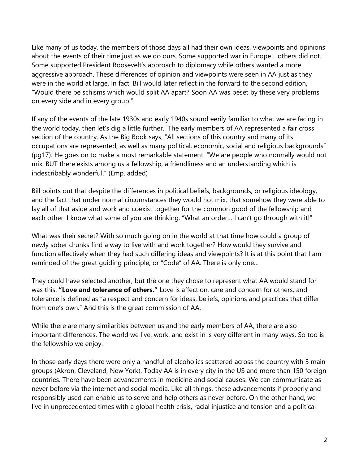Like many of us today, the members of those days all had their own ideas, viewpoints and opinions about the events of their time just as we do ours. Some supported war in Europe… others did not. Some supported President Roosevelt's approach to diplomacy while others wanted a more aggressive approach. These differences of opinion and viewpoints were seen in AA just as they were in the world at large. In fact, Bill would later reflect in the forward to the second edition, "Would there be schisms which would split AA apart? Soon AA was beset by these very problems on every side and in every group."

If any of the events of the late 1930s and early 1940s sound eerily familiar to what we are facing in the world today, then let's dig a little further. The early members of AA represented a fair cross section of the country. As the Big Book says, "All sections of this country and many of its occupations are represented, as well as many political, economic, social and religious backgrounds" (pg17). He goes on to make a most remarkable statement: "We are people who normally would not mix. BUT there exists among us a fellowship, a friendliness and an understanding which is indescribably wonderful." (Emp. added)

Bill points out that despite the differences in political beliefs, backgrounds, or religious ideology, and the fact that under normal circumstances they would not mix, that somehow they were able to lay all of that aside and work and coexist together for the common good of the fellowship and each other. I know what some of you are thinking: "What an order... I can't go through with it!"

What was their secret? With so much going on in the world at that time how could a group of newly sober drunks find a way to live with and work together? How would they survive and function effectively when they had such differing ideas and viewpoints? It is at this point that I am reminded of the great guiding principle, or "Code" of AA. There is only one…

They could have selected another, but the one they chose to represent what AA would stand for was this: **"Love and tolerance of others."** Love is affection, care and concern for others, and tolerance is defined as "a respect and concern for ideas, beliefs, opinions and practices that differ from one's own." And this is the great commission of AA.

While there are many similarities between us and the early members of AA, there are also important differences. The world we live, work, and exist in is very different in many ways. So too is the fellowship we enjoy.

In those early days there were only a handful of alcoholics scattered across the country with 3 main groups (Akron, Cleveland, New York). Today AA is in every city in the US and more than 150 foreign countries. There have been advancements in medicine and social causes. We can communicate as never before via the internet and social media. Like all things, these advancements if properly and responsibly used can enable us to serve and help others as never before. On the other hand, we live in unprecedented times with a global health crisis, racial injustice and tension and a political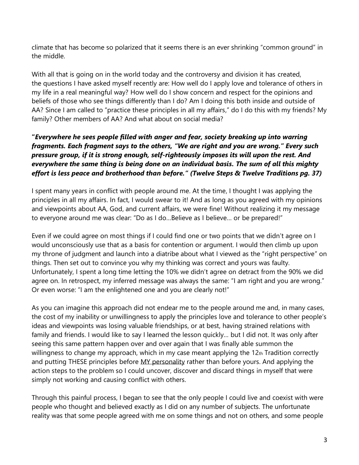climate that has become so polarized that it seems there is an ever shrinking "common ground" in the middle.

With all that is going on in the world today and the controversy and division it has created, the questions I have asked myself recently are: How well do I apply love and tolerance of others in my life in a real meaningful way? How well do I show concern and respect for the opinions and beliefs of those who see things differently than I do? Am I doing this both inside and outside of AA? Since I am called to "practice these principles in all my affairs," do I do this with my friends? My family? Other members of AA? And what about on social media?

## **"***Everywhere he sees people filled with anger and fear, society breaking up into warring fragments. Each fragment says to the others, "We are right and you are wrong." Every such pressure group, if it is strong enough, self-righteously imposes its will upon the rest. And everywhere the same thing is being done on an individual basis. The sum of all this mighty effort is less peace and brotherhood than before." (Twelve Steps & Twelve Traditions pg. 37)*

I spent many years in conflict with people around me. At the time, I thought I was applying the principles in all my affairs. In fact, I would swear to it! And as long as you agreed with my opinions and viewpoints about AA, God, and current affairs, we were fine! Without realizing it my message to everyone around me was clear: "Do as I do…Believe as I believe… or be prepared!"

Even if we could agree on most things if I could find one or two points that we didn't agree on I would unconsciously use that as a basis for contention or argument. I would then climb up upon my throne of judgment and launch into a diatribe about what I viewed as the "right perspective" on things. Then set out to convince you why my thinking was correct and yours was faulty. Unfortunately, I spent a long time letting the 10% we didn't agree on detract from the 90% we did agree on. In retrospect, my inferred message was always the same: "I am right and you are wrong." Or even worse: "I am the enlightened one and you are clearly not!"

As you can imagine this approach did not endear me to the people around me and, in many cases, the cost of my inability or unwillingness to apply the principles love and tolerance to other people's ideas and viewpoints was losing valuable friendships, or at best, having strained relations with family and friends. I would like to say I learned the lesson quickly… but I did not. It was only after seeing this same pattern happen over and over again that I was finally able summon the willingness to change my approach, which in my case meant applying the 12th Tradition correctly and putting THESE principles before MY personality rather than before yours. And applying the action steps to the problem so I could uncover, discover and discard things in myself that were simply not working and causing conflict with others.

Through this painful process, I began to see that the only people I could live and coexist with were people who thought and believed exactly as I did on any number of subjects. The unfortunate reality was that some people agreed with me on some things and not on others, and some people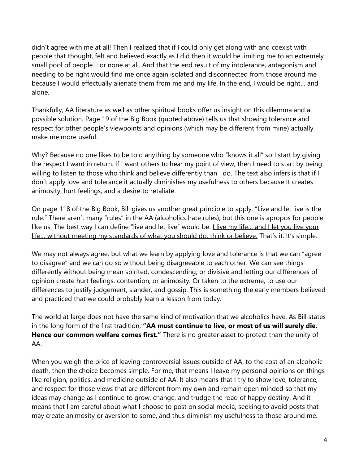didn't agree with me at all! Then I realized that if I could only get along with and coexist with people that thought, felt and believed exactly as I did then it would be limiting me to an extremely small pool of people… or none at all. And that the end result of my intolerance, antagonism and needing to be right would find me once again isolated and disconnected from those around me because I would effectually alienate them from me and my life. In the end, I would be right… and alone.

Thankfully, AA literature as well as other spiritual books offer us insight on this dilemma and a possible solution. Page 19 of the Big Book (quoted above) tells us that showing tolerance and respect for other people's viewpoints and opinions (which may be different from mine) actually make me more useful.

Why? Because no one likes to be told anything by someone who "knows it all" so I start by giving the respect I want in return. If I want others to hear my point of view, then I need to start by being willing to listen to those who think and believe differently than I do. The text also infers is that if I don't apply love and tolerance it actually diminishes my usefulness to others because It creates animosity, hurt feelings, and a desire to retaliate.

On page 118 of the Big Book, Bill gives us another great principle to apply: "Live and let live is the rule." There aren't many "rules" in the AA (alcoholics hate rules), but this one is apropos for people like us. The best way I can define "live and let live" would be: Llive my life... and I let you live your life… without meeting my standards of what you should do, think or believe. That's it. It's simple.

We may not always agree, but what we learn by applying love and tolerance is that we can "agree to disagree" and we can do so without being disagreeable to each other. We can see things differently without being mean spirited, condescending, or divisive and letting our differences of opinion create hurt feelings, contention, or animosity. Or taken to the extreme, to use our differences to justify judgement, slander, and gossip. This is something the early members believed and practiced that we could probably learn a lesson from today.

The world at large does not have the same kind of motivation that we alcoholics have. As Bill states in the long form of the first tradition, **"AA must continue to live, or most of us will surely die. Hence our common welfare comes first."** There is no greater asset to protect than the unity of AA.

When you weigh the price of leaving controversial issues outside of AA, to the cost of an alcoholic death, then the choice becomes simple. For me, that means I leave my personal opinions on things like religion, politics, and medicine outside of AA. It also means that I try to show love, tolerance, and respect for those views that are different from my own and remain open minded so that my ideas may change as I continue to grow, change, and trudge the road of happy destiny. And it means that I am careful about what I choose to post on social media, seeking to avoid posts that may create animosity or aversion to some, and thus diminish my usefulness to those around me.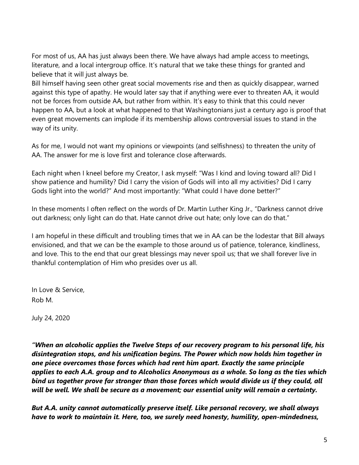For most of us, AA has just always been there. We have always had ample access to meetings, literature, and a local intergroup office. It's natural that we take these things for granted and believe that it will just always be.

Bill himself having seen other great social movements rise and then as quickly disappear, warned against this type of apathy. He would later say that if anything were ever to threaten AA, it would not be forces from outside AA, but rather from within. It's easy to think that this could never happen to AA, but a look at what happened to that Washingtonians just a century ago is proof that even great movements can implode if its membership allows controversial issues to stand in the way of its unity.

As for me, I would not want my opinions or viewpoints (and selfishness) to threaten the unity of AA. The answer for me is love first and tolerance close afterwards.

Each night when I kneel before my Creator, I ask myself: "Was I kind and loving toward all? Did I show patience and humility? Did I carry the vision of Gods will into all my activities? Did I carry Gods light into the world?" And most importantly: "What could I have done better?"

In these moments I often reflect on the words of Dr. Martin Luther King Jr., "Darkness cannot drive out darkness; only light can do that. Hate cannot drive out hate; only love can do that."

I am hopeful in these difficult and troubling times that we in AA can be the lodestar that Bill always envisioned, and that we can be the example to those around us of patience, tolerance, kindliness, and love. This to the end that our great blessings may never spoil us; that we shall forever live in thankful contemplation of Him who presides over us all.

In Love & Service, Rob M.

July 24, 2020

*"When an alcoholic applies the Twelve Steps of our recovery program to his personal life, his disintegration stops, and his unification begins. The Power which now holds him together in one piece overcomes those forces which had rent him apart. Exactly the same principle applies to each A.A. group and to Alcoholics Anonymous as a whole. So long as the ties which bind us together prove far stronger than those forces which would divide us if they could, all will be well. We shall be secure as a movement; our essential unity will remain a certainty.*

*But A.A. unity cannot automatically preserve itself. Like personal recovery, we shall always have to work to maintain it. Here, too, we surely need honesty, humility, open‐mindedness,*